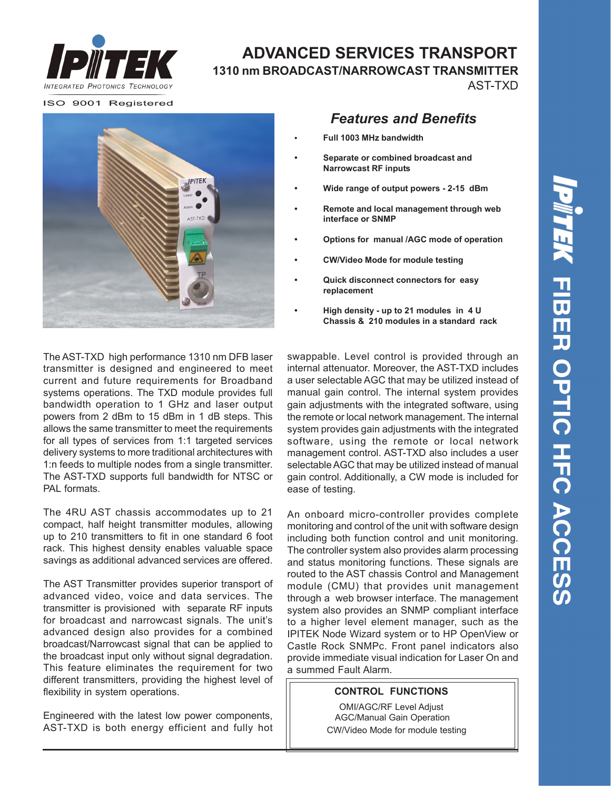

### **ADVANCED SERVICES TRANSPORT 1310 nm BROADCAST/NARROWCAST TRANSMITTER** AST-TXD

ISO 9001 Registered



The AST-TXD high performance 1310 nm DFB laser transmitter is designed and engineered to meet current and future requirements for Broadband systems operations. The TXD module provides full bandwidth operation to 1 GHz and laser output powers from 2 dBm to 15 dBm in 1 dB steps. This allows the same transmitter to meet the requirements for all types of services from 1:1 targeted services delivery systems to more traditional architectures with 1:n feeds to multiple nodes from a single transmitter. The AST-TXD supports full bandwidth for NTSC or PAL formats.

The 4RU AST chassis accommodates up to 21 compact, half height transmitter modules, allowing up to 210 transmitters to fit in one standard 6 foot rack. This highest density enables valuable space savings as additional advanced services are offered.

The AST Transmitter provides superior transport of advanced video, voice and data services. The transmitter is provisioned with separate RF inputs for broadcast and narrowcast signals. The unit's advanced design also provides for a combined broadcast/Narrowcast signal that can be applied to the broadcast input only without signal degradation. This feature eliminates the requirement for two different transmitters, providing the highest level of flexibility in system operations.

Engineered with the latest low power components, AST-TXD is both energy efficient and fully hot

## *Features and Benefits*

- **• Full 1003 MHz bandwidth**
- **Separate or combined broadcast and Narrowcast RF inputs**
- **Wide range of output powers 2-15 dBm**
- **Remote and local management through web interface or SNMP**
- **Options for manual /AGC mode of operation**
- **CW/Video Mode for module testing**
- **Quick disconnect connectors for easy replacement**
- **High density up to 21 modules in 4 U Chassis & 210 modules in a standard rack**

gain adjustments with the integrated software, using the remote or local network management. The internal system provides gain adjustments with the integrated software, using the remote or local network management control. AST-TXD also includes a user selectable AGC that may be utilized instead of manual gain control. Additionally, a CW mode is included for ease of testing. swappable. Level control is provided through an internal attenuator. Moreover, the AST-TXD includes a user selectable AGC that may be utilized instead of manual gain control. The internal system provides

An onboard micro-controller provides complete monitoring and control of the unit with software design including both function control and unit monitoring. The controller system also provides alarm processing and status monitoring functions. These signals are routed to the AST chassis Control and Management module (CMU) that provides unit management through a web browser interface. The management system also provides an SNMP compliant interface to a higher level element manager, such as the IPITEK Node Wizard system or to HP OpenView or Castle Rock SNMPc. Front panel indicators also provide immediate visual indication for Laser On and a summed Fault Alarm.

#### **CONTROL FUNCTIONS**

OMI/AGC/RF Level Adjust AGC/Manual Gain Operation CW/Video Mode for module testing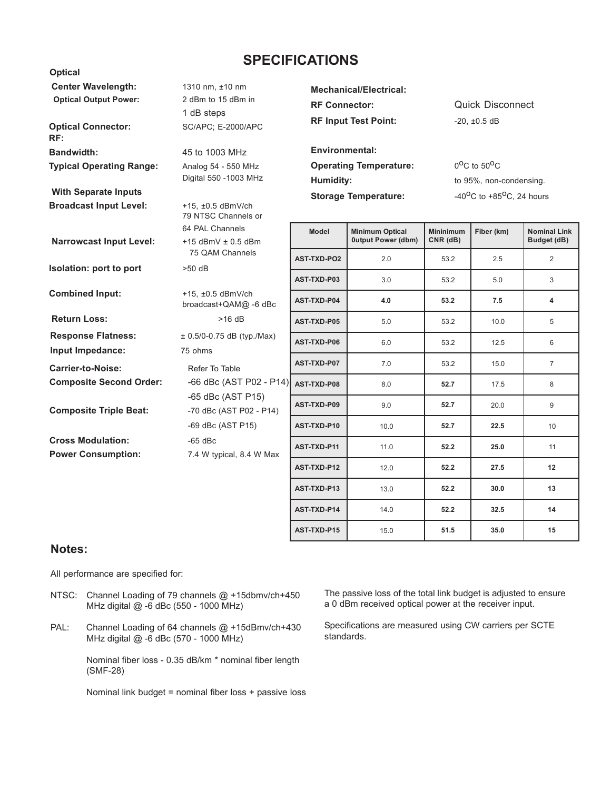### **SPECIFICATIONS**

| <b>Center Wavelength:</b><br><b>Optical Output Power:</b><br><b>Optical Connector:</b> | 1310 nm, ±10 nm<br>2 dBm to 15 dBm in<br>1 dB steps<br>SC/APC; E-2000/APC | <b>Mechanical/Electrical:</b><br><b>RF Connector:</b><br><b>RF Input Test Point:</b><br><b>Environmental:</b> |                                                     | <b>Quick Disconnect</b><br>$-20, \pm 0.5$ dB                |            |                                    |
|----------------------------------------------------------------------------------------|---------------------------------------------------------------------------|---------------------------------------------------------------------------------------------------------------|-----------------------------------------------------|-------------------------------------------------------------|------------|------------------------------------|
| RF:                                                                                    |                                                                           |                                                                                                               |                                                     |                                                             |            |                                    |
| <b>Bandwidth:</b>                                                                      | 45 to 1003 MHz                                                            | <b>Operating Temperature:</b><br>Humidity:                                                                    |                                                     | $0^{\circ}$ C to 50 $^{\circ}$ C<br>to 95%, non-condensing. |            |                                    |
| <b>Typical Operating Range:</b>                                                        | Analog 54 - 550 MHz<br>Digital 550 -1003 MHz                              |                                                                                                               |                                                     |                                                             |            |                                    |
| <b>With Separate Inputs</b>                                                            |                                                                           | <b>Storage Temperature:</b>                                                                                   |                                                     | -40 <sup>o</sup> C to +85 <sup>o</sup> C, 24 hours          |            |                                    |
| <b>Broadcast Input Level:</b>                                                          | +15, ±0.5 dBmV/ch<br>79 NTSC Channels or                                  |                                                                                                               |                                                     |                                                             |            |                                    |
| <b>Narrowcast Input Level:</b>                                                         | 64 PAL Channels<br>$+15$ dBmV $\pm$ 0.5 dBm                               | Model                                                                                                         | <b>Minimum Optical</b><br><b>Output Power (dbm)</b> | <b>Mininimum</b><br>$CNR$ ( $dB$ )                          | Fiber (km) | <b>Nominal Link</b><br>Budget (dB) |
| Isolation: port to port                                                                | 75 QAM Channels<br>$>50$ dB                                               | <b>AST-TXD-PO2</b>                                                                                            | 2.0                                                 | 53.2                                                        | 2.5        | $\overline{2}$                     |
|                                                                                        |                                                                           | AST-TXD-P03                                                                                                   | 3.0                                                 | 53.2                                                        | 5.0        | 3                                  |
| <b>Combined Input:</b>                                                                 | +15, ±0.5 dBmV/ch<br>broadcast+QAM@ -6 dBc                                | AST-TXD-P04                                                                                                   | 4.0                                                 | 53.2                                                        | 7.5        | 4                                  |
| <b>Return Loss:</b>                                                                    | $>16$ dB                                                                  | AST-TXD-P05                                                                                                   | 5.0                                                 | 53.2                                                        | 10.0       | 5                                  |
| <b>Response Flatness:</b>                                                              | $± 0.5/0-0.75$ dB (typ./Max)                                              | AST-TXD-P06                                                                                                   | 6.0                                                 | 53.2                                                        | 12.5       | 6                                  |
| Input Impedance:<br><b>Carrier-to-Noise:</b>                                           | 75 ohms                                                                   | AST-TXD-P07                                                                                                   | 7.0                                                 | 53.2                                                        | 15.0       | $\overline{7}$                     |
| <b>Composite Second Order:</b>                                                         | Refer To Table<br>-66 dBc (AST P02 - P14)                                 |                                                                                                               |                                                     |                                                             |            |                                    |
|                                                                                        | -65 dBc (AST P15)                                                         | AST-TXD-P08                                                                                                   | 8.0                                                 | 52.7                                                        | 17.5       | 8                                  |
| <b>Composite Triple Beat:</b>                                                          | -70 dBc (AST P02 - P14)                                                   | AST-TXD-P09                                                                                                   | 9.0                                                 | 52.7                                                        | 20.0       | 9                                  |
|                                                                                        | -69 dBc (AST P15)                                                         | AST-TXD-P10                                                                                                   | 10.0                                                | 52.7                                                        | 22.5       | 10                                 |
| <b>Cross Modulation:</b><br><b>Power Consumption:</b>                                  | $-65$ dBc<br>7.4 W typical, 8.4 W Max                                     | AST-TXD-P11                                                                                                   | 11.0                                                | 52.2                                                        | 25.0       | 11                                 |
|                                                                                        |                                                                           | AST-TXD-P12                                                                                                   | 12.0                                                | 52.2                                                        | 27.5       | 12                                 |
|                                                                                        |                                                                           | AST-TXD-P13                                                                                                   | 13.0                                                | 52.2                                                        | 30.0       | 13                                 |
|                                                                                        |                                                                           | AST-TXD-P14                                                                                                   | 14.0                                                | 52.2                                                        | 32.5       | 14                                 |

#### **Notes:**

 **Optical**

All performance are specified for:

- NTSC: Channel Loading of 79 channels @ +15dbmv/ch+450 MHz digital @ -6 dBc (550 - 1000 MHz)
- PAL: Channel Loading of 64 channels @ +15dBmv/ch+430 MHz digital @ -6 dBc (570 - 1000 MHz)

Nominal fiber loss - 0.35 dB/km \* nominal fiber length (SMF-28)

Nominal link budget = nominal fiber loss + passive loss

The passive loss of the total link budget is adjusted to ensure a 0 dBm received optical power at the receiver input.

**AST-TXD-P15** 15.0 **51.5** 35.0 15

Specifications are measured using CW carriers per SCTE standards.